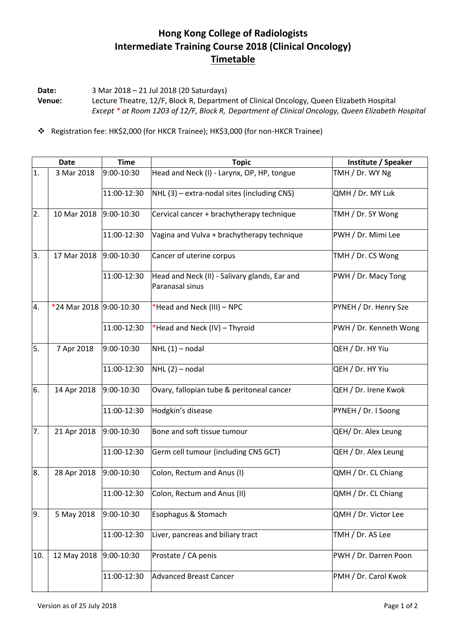## **Hong Kong College of Radiologists Intermediate Training Course 2018 (Clinical Oncology) Timetable**

**Date:** 3 Mar 2018 – 21 Jul 2018 (20 Saturdays) **Venue:** Lecture Theatre, 12/F, Block R, Department of Clinical Oncology, Queen Elizabeth Hospital *Except \* at Room 1203 of 12/F, Block R, Department of Clinical Oncology, Queen Elizabeth Hospital*

Registration fee: HK\$2,000 (for HKCR Trainee); HK\$3,000 (for non-HKCR Trainee)

|     | <b>Date</b>             | <b>Time</b> | <b>Topic</b>                                                     | Institute / Speaker    |
|-----|-------------------------|-------------|------------------------------------------------------------------|------------------------|
| 1.  | 3 Mar 2018              | 9:00-10:30  | Head and Neck (I) - Larynx, OP, HP, tongue                       | TMH / Dr. WY Ng        |
|     |                         | 11:00-12:30 | NHL (3) - extra-nodal sites (including CNS)                      | QMH / Dr. MY Luk       |
| 2.  | 10 Mar 2018             | 9:00-10:30  | Cervical cancer + brachytherapy technique                        | TMH / Dr. SY Wong      |
|     |                         | 11:00-12:30 | Vagina and Vulva + brachytherapy technique                       | PWH / Dr. Mimi Lee     |
| 3.  | 17 Mar 2018             | 9:00-10:30  | Cancer of uterine corpus                                         | TMH / Dr. CS Wong      |
|     |                         | 11:00-12:30 | Head and Neck (II) - Salivary glands, Ear and<br>Paranasal sinus | PWH / Dr. Macy Tong    |
| 4.  | *24 Mar 2018 9:00-10:30 |             | *Head and Neck (III) - NPC                                       | PYNEH / Dr. Henry Sze  |
|     |                         | 11:00-12:30 | *Head and Neck (IV) - Thyroid                                    | PWH / Dr. Kenneth Wong |
| 5.  | 7 Apr 2018              | 9:00-10:30  | $NHL(1)$ – nodal                                                 | QEH / Dr. HY Yiu       |
|     |                         | 11:00-12:30 | $NHL(2)$ – nodal                                                 | QEH / Dr. HY Yiu       |
| 6.  | 14 Apr 2018             | 9:00-10:30  | Ovary, fallopian tube & peritoneal cancer                        | QEH / Dr. Irene Kwok   |
|     |                         | 11:00-12:30 | Hodgkin's disease                                                | PYNEH / Dr. I Soong    |
| 7.  | 21 Apr 2018             | 9:00-10:30  | Bone and soft tissue tumour                                      | QEH/ Dr. Alex Leung    |
|     |                         | 11:00-12:30 | Germ cell tumour (including CNS GCT)                             | QEH / Dr. Alex Leung   |
| 8.  | 28 Apr 2018             | 9:00-10:30  | Colon, Rectum and Anus (I)                                       | QMH / Dr. CL Chiang    |
|     |                         | 11:00-12:30 | Colon, Rectum and Anus (II)                                      | QMH / Dr. CL Chiang    |
| 9.  | 5 May 2018              | 9:00-10:30  | Esophagus & Stomach                                              | QMH / Dr. Victor Lee   |
|     |                         | 11:00-12:30 | Liver, pancreas and biliary tract                                | TMH / Dr. AS Lee       |
| 10. | 12 May 2018             | 9:00-10:30  | Prostate / CA penis                                              | PWH / Dr. Darren Poon  |
|     |                         | 11:00-12:30 | <b>Advanced Breast Cancer</b>                                    | PMH / Dr. Carol Kwok   |